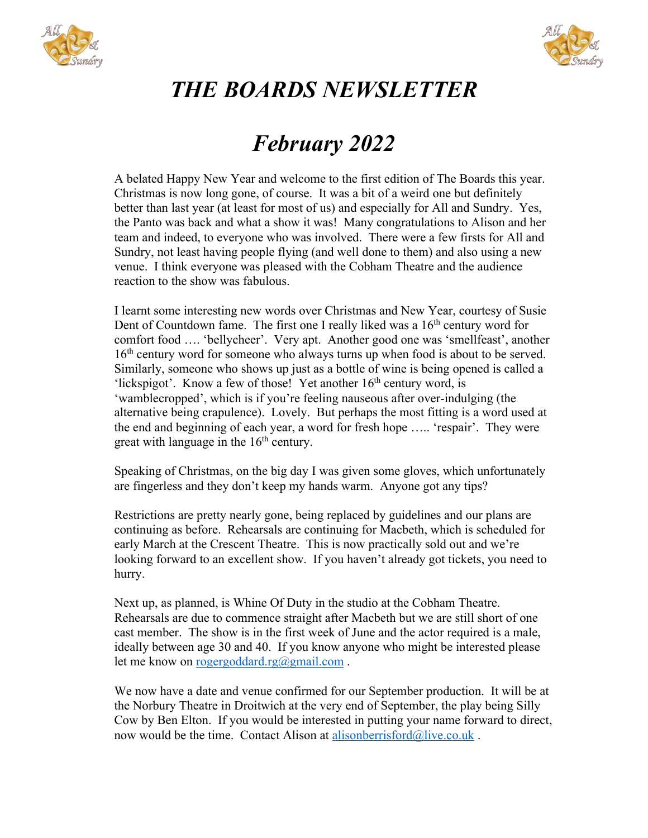



## *THE BOARDS NEWSLETTER*

## *February 2022*

A belated Happy New Year and welcome to the first edition of The Boards this year. Christmas is now long gone, of course. It was a bit of a weird one but definitely better than last year (at least for most of us) and especially for All and Sundry. Yes, the Panto was back and what a show it was! Many congratulations to Alison and her team and indeed, to everyone who was involved. There were a few firsts for All and Sundry, not least having people flying (and well done to them) and also using a new venue. I think everyone was pleased with the Cobham Theatre and the audience reaction to the show was fabulous.

I learnt some interesting new words over Christmas and New Year, courtesy of Susie Dent of Countdown fame. The first one I really liked was a  $16<sup>th</sup>$  century word for comfort food …. 'bellycheer'. Very apt. Another good one was 'smellfeast', another 16<sup>th</sup> century word for someone who always turns up when food is about to be served. Similarly, someone who shows up just as a bottle of wine is being opened is called a 'lickspigot'. Know a few of those! Yet another  $16<sup>th</sup>$  century word, is 'wamblecropped', which is if you're feeling nauseous after over-indulging (the alternative being crapulence). Lovely. But perhaps the most fitting is a word used at the end and beginning of each year, a word for fresh hope ….. 'respair'. They were great with language in the  $16<sup>th</sup>$  century.

Speaking of Christmas, on the big day I was given some gloves, which unfortunately are fingerless and they don't keep my hands warm. Anyone got any tips?

Restrictions are pretty nearly gone, being replaced by guidelines and our plans are continuing as before. Rehearsals are continuing for Macbeth, which is scheduled for early March at the Crescent Theatre. This is now practically sold out and we're looking forward to an excellent show. If you haven't already got tickets, you need to hurry.

Next up, as planned, is Whine Of Duty in the studio at the Cobham Theatre. Rehearsals are due to commence straight after Macbeth but we are still short of one cast member. The show is in the first week of June and the actor required is a male, ideally between age 30 and 40. If you know anyone who might be interested please let me know on rogergoddard.rg@gmail.com.

We now have a date and venue confirmed for our September production. It will be at the Norbury Theatre in Droitwich at the very end of September, the play being Silly Cow by Ben Elton. If you would be interested in putting your name forward to direct, now would be the time. Contact Alison at alisonberrisford@live.co.uk .